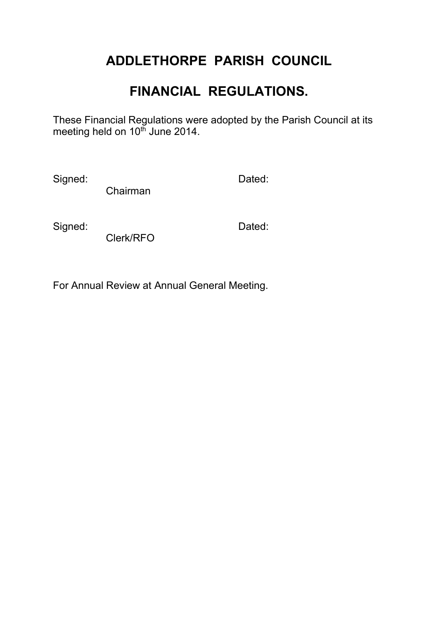# **ADDLETHORPE PARISH COUNCIL**

# **FINANCIAL REGULATIONS.**

These Financial Regulations were adopted by the Parish Council at its meeting held on 10<sup>th</sup> June 2014.

Signed: Dated:

Chairman

Signed: **Dated:** Dated:

Clerk/RFO

For Annual Review at Annual General Meeting.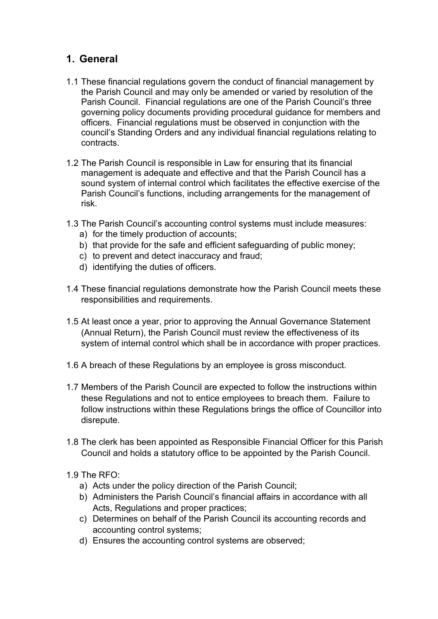## **1. General**

- 1.1 These financial regulations govern the conduct of financial management by the Parish Council and may only be amended or varied by resolution of the Parish Council. Financial regulations are one of the Parish Council's three governing policy documents providing procedural guidance for members and officers. Financial regulations must be observed in conjunction with the council's Standing Orders and any individual financial regulations relating to contracts.
- 1.2 The Parish Council is responsible in Law for ensuring that its financial management is adequate and effective and that the Parish Council has a sound system of internal control which facilitates the effective exercise of the Parish Council's functions, including arrangements for the management of risk.
- 1.3 The Parish Council's accounting control systems must include measures:
	- a) for the timely production of accounts;
	- b) that provide for the safe and efficient safeguarding of public money;
	- c) to prevent and detect inaccuracy and fraud;
	- d) identifying the duties of officers.
- 1.4 These financial regulations demonstrate how the Parish Council meets these responsibilities and requirements.
- 1.5 At least once a year, prior to approving the Annual Governance Statement (Annual Return), the Parish Council must review the effectiveness of its system of internal control which shall be in accordance with proper practices.
- 1.6 A breach of these Regulations by an employee is gross misconduct.
- 1.7 Members of the Parish Council are expected to follow the instructions within these Regulations and not to entice employees to breach them. Failure to follow instructions within these Regulations brings the office of Councillor into disrepute.
- 1.8 The clerk has been appointed as Responsible Financial Officer for this Parish Council and holds a statutory office to be appointed by the Parish Council.
- 1.9 The RFO:
	- a) Acts under the policy direction of the Parish Council;
	- b) Administers the Parish Council's financial affairs in accordance with all Acts, Regulations and proper practices;
	- c) Determines on behalf of the Parish Council its accounting records and accounting control systems;
	- d) Ensures the accounting control systems are observed;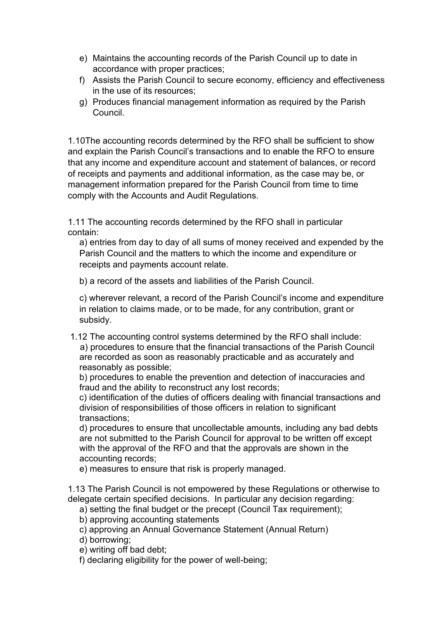- e) Maintains the accounting records of the Parish Council up to date in accordance with proper practices;
- f) Assists the Parish Council to secure economy, efficiency and effectiveness in the use of its resources;
- g) Produces financial management information as required by the Parish Council.

1.10The accounting records determined by the RFO shall be sufficient to show and explain the Parish Council's transactions and to enable the RFO to ensure that any income and expenditure account and statement of balances, or record of receipts and payments and additional information, as the case may be, or management information prepared for the Parish Council from time to time comply with the Accounts and Audit Regulations.

1.11 The accounting records determined by the RFO shall in particular contain:

a) entries from day to day of all sums of money received and expended by the Parish Council and the matters to which the income and expenditure or receipts and payments account relate.

b) a record of the assets and liabilities of the Parish Council.

c) wherever relevant, a record of the Parish Council's income and expenditure in relation to claims made, or to be made, for any contribution, grant or subsidy.

 1.12 The accounting control systems determined by the RFO shall include: a) procedures to ensure that the financial transactions of the Parish Council are recorded as soon as reasonably practicable and as accurately and reasonably as possible;

b) procedures to enable the prevention and detection of inaccuracies and fraud and the ability to reconstruct any lost records;

c) identification of the duties of officers dealing with financial transactions and division of responsibilities of those officers in relation to significant transactions;

d) procedures to ensure that uncollectable amounts, including any bad debts are not submitted to the Parish Council for approval to be written off except with the approval of the RFO and that the approvals are shown in the accounting records;

e) measures to ensure that risk is properly managed.

1.13 The Parish Council is not empowered by these Regulations or otherwise to delegate certain specified decisions. In particular any decision regarding:

a) setting the final budget or the precept (Council Tax requirement);

b) approving accounting statements

c) approving an Annual Governance Statement (Annual Return)

d) borrowing;

e) writing off bad debt;

f) declaring eligibility for the power of well-being;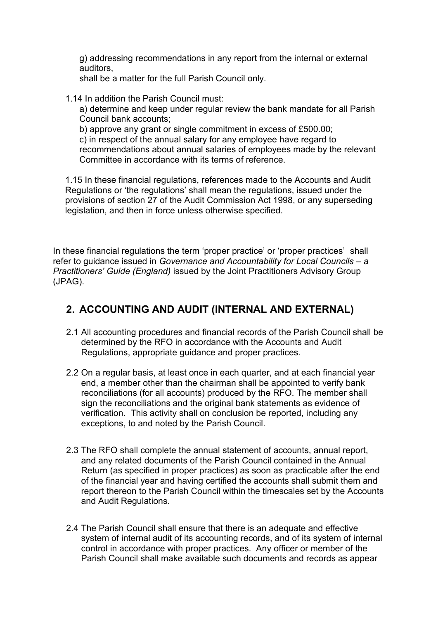g) addressing recommendations in any report from the internal or external auditors,

shall be a matter for the full Parish Council only.

1.14 In addition the Parish Council must:

a) determine and keep under regular review the bank mandate for all Parish Council bank accounts;

b) approve any grant or single commitment in excess of £500.00; c) in respect of the annual salary for any employee have regard to recommendations about annual salaries of employees made by the relevant Committee in accordance with its terms of reference.

1.15 In these financial regulations, references made to the Accounts and Audit Regulations or 'the regulations' shall mean the regulations, issued under the provisions of section 27 of the Audit Commission Act 1998, or any superseding legislation, and then in force unless otherwise specified.

In these financial regulations the term 'proper practice' or 'proper practices' shall refer to guidance issued in *Governance and Accountability for Local Councils – a Practitioners' Guide (England)* issued by the Joint Practitioners Advisory Group (JPAG).

## **2. ACCOUNTING AND AUDIT (INTERNAL AND EXTERNAL)**

- 2.1 All accounting procedures and financial records of the Parish Council shall be determined by the RFO in accordance with the Accounts and Audit Regulations, appropriate guidance and proper practices.
- 2.2 On a regular basis, at least once in each quarter, and at each financial year end, a member other than the chairman shall be appointed to verify bank reconciliations (for all accounts) produced by the RFO. The member shall sign the reconciliations and the original bank statements as evidence of verification. This activity shall on conclusion be reported, including any exceptions, to and noted by the Parish Council.
- 2.3 The RFO shall complete the annual statement of accounts, annual report, and any related documents of the Parish Council contained in the Annual Return (as specified in proper practices) as soon as practicable after the end of the financial year and having certified the accounts shall submit them and report thereon to the Parish Council within the timescales set by the Accounts and Audit Regulations.
- 2.4 The Parish Council shall ensure that there is an adequate and effective system of internal audit of its accounting records, and of its system of internal control in accordance with proper practices. Any officer or member of the Parish Council shall make available such documents and records as appear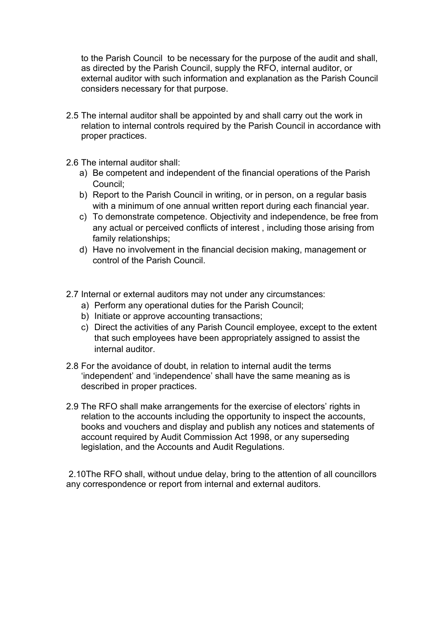to the Parish Council to be necessary for the purpose of the audit and shall, as directed by the Parish Council, supply the RFO, internal auditor, or external auditor with such information and explanation as the Parish Council considers necessary for that purpose.

- 2.5 The internal auditor shall be appointed by and shall carry out the work in relation to internal controls required by the Parish Council in accordance with proper practices.
- 2.6 The internal auditor shall:
	- a) Be competent and independent of the financial operations of the Parish Council;
	- b) Report to the Parish Council in writing, or in person, on a regular basis with a minimum of one annual written report during each financial year.
	- c) To demonstrate competence. Objectivity and independence, be free from any actual or perceived conflicts of interest , including those arising from family relationships;
	- d) Have no involvement in the financial decision making, management or control of the Parish Council.
- 2.7 Internal or external auditors may not under any circumstances:
	- a) Perform any operational duties for the Parish Council;
	- b) Initiate or approve accounting transactions;
	- c) Direct the activities of any Parish Council employee, except to the extent that such employees have been appropriately assigned to assist the internal auditor.
- 2.8 For the avoidance of doubt, in relation to internal audit the terms 'independent' and 'independence' shall have the same meaning as is described in proper practices.
- 2.9 The RFO shall make arrangements for the exercise of electors' rights in relation to the accounts including the opportunity to inspect the accounts, books and vouchers and display and publish any notices and statements of account required by Audit Commission Act 1998, or any superseding legislation, and the Accounts and Audit Regulations.

2.10The RFO shall, without undue delay, bring to the attention of all councillors any correspondence or report from internal and external auditors.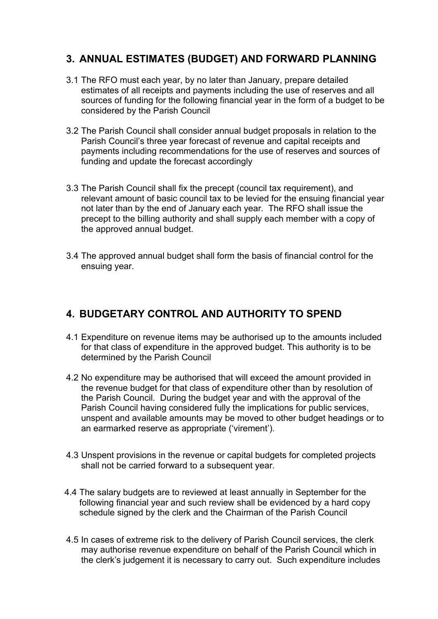## **3. ANNUAL ESTIMATES (BUDGET) AND FORWARD PLANNING**

- 3.1 The RFO must each year, by no later than January, prepare detailed estimates of all receipts and payments including the use of reserves and all sources of funding for the following financial year in the form of a budget to be considered by the Parish Council
- 3.2 The Parish Council shall consider annual budget proposals in relation to the Parish Council's three year forecast of revenue and capital receipts and payments including recommendations for the use of reserves and sources of funding and update the forecast accordingly
- 3.3 The Parish Council shall fix the precept (council tax requirement), and relevant amount of basic council tax to be levied for the ensuing financial year not later than by the end of January each year. The RFO shall issue the precept to the billing authority and shall supply each member with a copy of the approved annual budget.
- 3.4 The approved annual budget shall form the basis of financial control for the ensuing year.

## **4. BUDGETARY CONTROL AND AUTHORITY TO SPEND**

- 4.1 Expenditure on revenue items may be authorised up to the amounts included for that class of expenditure in the approved budget. This authority is to be determined by the Parish Council
- 4.2 No expenditure may be authorised that will exceed the amount provided in the revenue budget for that class of expenditure other than by resolution of the Parish Council. During the budget year and with the approval of the Parish Council having considered fully the implications for public services, unspent and available amounts may be moved to other budget headings or to an earmarked reserve as appropriate ('virement').
- 4.3 Unspent provisions in the revenue or capital budgets for completed projects shall not be carried forward to a subsequent year.
- 4.4 The salary budgets are to reviewed at least annually in September for the following financial year and such review shall be evidenced by a hard copy schedule signed by the clerk and the Chairman of the Parish Council
- 4.5 In cases of extreme risk to the delivery of Parish Council services, the clerk may authorise revenue expenditure on behalf of the Parish Council which in the clerk's judgement it is necessary to carry out. Such expenditure includes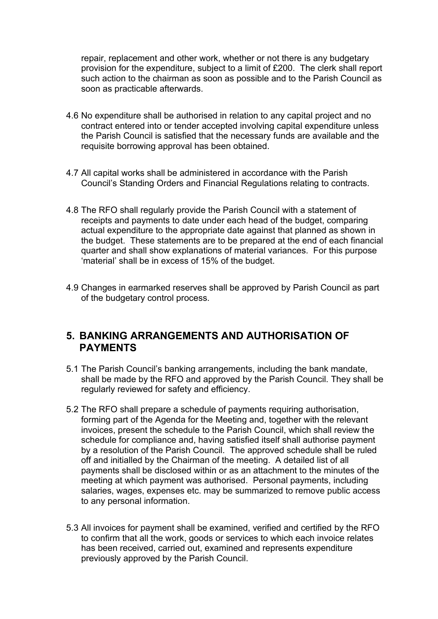repair, replacement and other work, whether or not there is any budgetary provision for the expenditure, subject to a limit of £200. The clerk shall report such action to the chairman as soon as possible and to the Parish Council as soon as practicable afterwards.

- 4.6 No expenditure shall be authorised in relation to any capital project and no contract entered into or tender accepted involving capital expenditure unless the Parish Council is satisfied that the necessary funds are available and the requisite borrowing approval has been obtained.
- 4.7 All capital works shall be administered in accordance with the Parish Council's Standing Orders and Financial Regulations relating to contracts.
- 4.8 The RFO shall regularly provide the Parish Council with a statement of receipts and payments to date under each head of the budget, comparing actual expenditure to the appropriate date against that planned as shown in the budget. These statements are to be prepared at the end of each financial quarter and shall show explanations of material variances. For this purpose 'material' shall be in excess of 15% of the budget.
- 4.9 Changes in earmarked reserves shall be approved by Parish Council as part of the budgetary control process.

#### **5. BANKING ARRANGEMENTS AND AUTHORISATION OF PAYMENTS**

- 5.1 The Parish Council's banking arrangements, including the bank mandate, shall be made by the RFO and approved by the Parish Council. They shall be regularly reviewed for safety and efficiency.
- 5.2 The RFO shall prepare a schedule of payments requiring authorisation, forming part of the Agenda for the Meeting and, together with the relevant invoices, present the schedule to the Parish Council, which shall review the schedule for compliance and, having satisfied itself shall authorise payment by a resolution of the Parish Council. The approved schedule shall be ruled off and initialled by the Chairman of the meeting. A detailed list of all payments shall be disclosed within or as an attachment to the minutes of the meeting at which payment was authorised. Personal payments, including salaries, wages, expenses etc. may be summarized to remove public access to any personal information.
- 5.3 All invoices for payment shall be examined, verified and certified by the RFO to confirm that all the work, goods or services to which each invoice relates has been received, carried out, examined and represents expenditure previously approved by the Parish Council.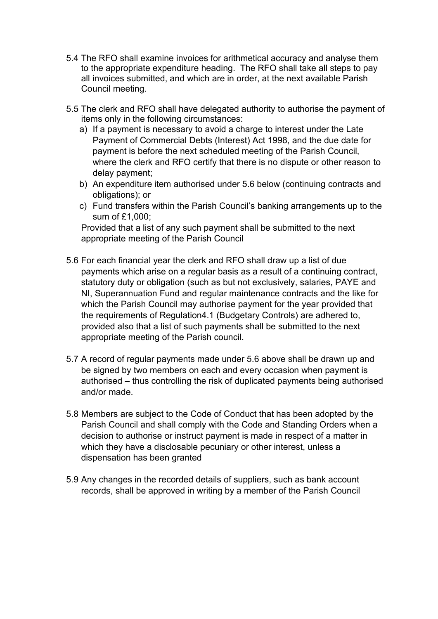- 5.4 The RFO shall examine invoices for arithmetical accuracy and analyse them to the appropriate expenditure heading. The RFO shall take all steps to pay all invoices submitted, and which are in order, at the next available Parish Council meeting.
- 5.5 The clerk and RFO shall have delegated authority to authorise the payment of items only in the following circumstances:
	- a) If a payment is necessary to avoid a charge to interest under the Late Payment of Commercial Debts (Interest) Act 1998, and the due date for payment is before the next scheduled meeting of the Parish Council, where the clerk and RFO certify that there is no dispute or other reason to delay payment;
	- b) An expenditure item authorised under 5.6 below (continuing contracts and obligations); or
	- c) Fund transfers within the Parish Council's banking arrangements up to the sum of £1,000;

Provided that a list of any such payment shall be submitted to the next appropriate meeting of the Parish Council

- 5.6 For each financial year the clerk and RFO shall draw up a list of due payments which arise on a regular basis as a result of a continuing contract, statutory duty or obligation (such as but not exclusively, salaries, PAYE and NI, Superannuation Fund and regular maintenance contracts and the like for which the Parish Council may authorise payment for the year provided that the requirements of Regulation4.1 (Budgetary Controls) are adhered to, provided also that a list of such payments shall be submitted to the next appropriate meeting of the Parish council.
- 5.7 A record of regular payments made under 5.6 above shall be drawn up and be signed by two members on each and every occasion when payment is authorised – thus controlling the risk of duplicated payments being authorised and/or made.
- 5.8 Members are subject to the Code of Conduct that has been adopted by the Parish Council and shall comply with the Code and Standing Orders when a decision to authorise or instruct payment is made in respect of a matter in which they have a disclosable pecuniary or other interest, unless a dispensation has been granted
- 5.9 Any changes in the recorded details of suppliers, such as bank account records, shall be approved in writing by a member of the Parish Council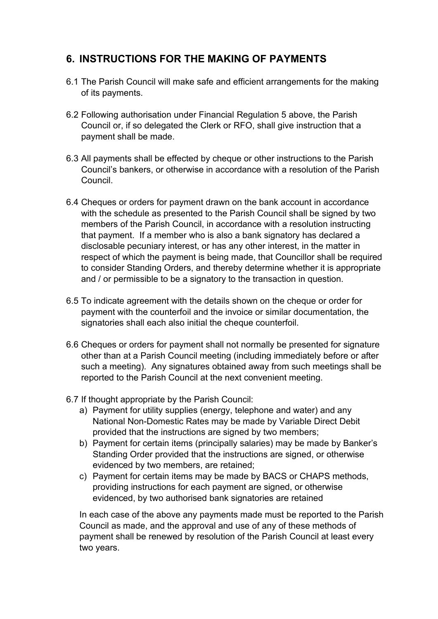## **6. INSTRUCTIONS FOR THE MAKING OF PAYMENTS**

- 6.1 The Parish Council will make safe and efficient arrangements for the making of its payments.
- 6.2 Following authorisation under Financial Regulation 5 above, the Parish Council or, if so delegated the Clerk or RFO, shall give instruction that a payment shall be made.
- 6.3 All payments shall be effected by cheque or other instructions to the Parish Council's bankers, or otherwise in accordance with a resolution of the Parish Council.
- 6.4 Cheques or orders for payment drawn on the bank account in accordance with the schedule as presented to the Parish Council shall be signed by two members of the Parish Council, in accordance with a resolution instructing that payment. If a member who is also a bank signatory has declared a disclosable pecuniary interest, or has any other interest, in the matter in respect of which the payment is being made, that Councillor shall be required to consider Standing Orders, and thereby determine whether it is appropriate and / or permissible to be a signatory to the transaction in question.
- 6.5 To indicate agreement with the details shown on the cheque or order for payment with the counterfoil and the invoice or similar documentation, the signatories shall each also initial the cheque counterfoil.
- 6.6 Cheques or orders for payment shall not normally be presented for signature other than at a Parish Council meeting (including immediately before or after such a meeting). Any signatures obtained away from such meetings shall be reported to the Parish Council at the next convenient meeting.
- 6.7 If thought appropriate by the Parish Council:
	- a) Payment for utility supplies (energy, telephone and water) and any National Non-Domestic Rates may be made by Variable Direct Debit provided that the instructions are signed by two members;
	- b) Payment for certain items (principally salaries) may be made by Banker's Standing Order provided that the instructions are signed, or otherwise evidenced by two members, are retained;
	- c) Payment for certain items may be made by BACS or CHAPS methods, providing instructions for each payment are signed, or otherwise evidenced, by two authorised bank signatories are retained

In each case of the above any payments made must be reported to the Parish Council as made, and the approval and use of any of these methods of payment shall be renewed by resolution of the Parish Council at least every two years.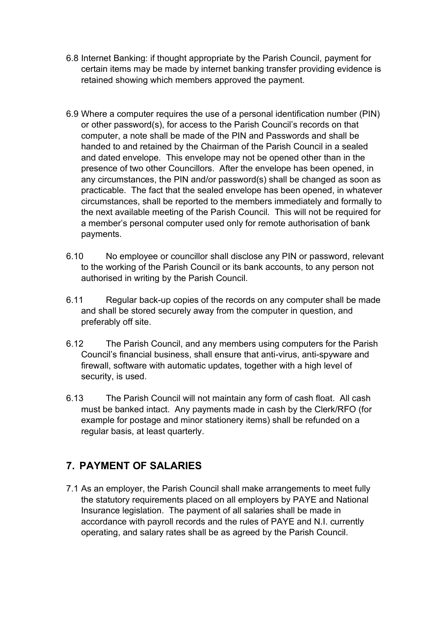- 6.8 Internet Banking: if thought appropriate by the Parish Council, payment for certain items may be made by internet banking transfer providing evidence is retained showing which members approved the payment.
- 6.9 Where a computer requires the use of a personal identification number (PIN) or other password(s), for access to the Parish Council's records on that computer, a note shall be made of the PIN and Passwords and shall be handed to and retained by the Chairman of the Parish Council in a sealed and dated envelope. This envelope may not be opened other than in the presence of two other Councillors. After the envelope has been opened, in any circumstances, the PIN and/or password(s) shall be changed as soon as practicable. The fact that the sealed envelope has been opened, in whatever circumstances, shall be reported to the members immediately and formally to the next available meeting of the Parish Council. This will not be required for a member's personal computer used only for remote authorisation of bank payments.
- 6.10 No employee or councillor shall disclose any PIN or password, relevant to the working of the Parish Council or its bank accounts, to any person not authorised in writing by the Parish Council.
- 6.11 Regular back-up copies of the records on any computer shall be made and shall be stored securely away from the computer in question, and preferably off site.
- 6.12 The Parish Council, and any members using computers for the Parish Council's financial business, shall ensure that anti-virus, anti-spyware and firewall, software with automatic updates, together with a high level of security, is used.
- 6.13 The Parish Council will not maintain any form of cash float. All cash must be banked intact. Any payments made in cash by the Clerk/RFO (for example for postage and minor stationery items) shall be refunded on a regular basis, at least quarterly.

## **7. PAYMENT OF SALARIES**

7.1 As an employer, the Parish Council shall make arrangements to meet fully the statutory requirements placed on all employers by PAYE and National Insurance legislation. The payment of all salaries shall be made in accordance with payroll records and the rules of PAYE and N.I. currently operating, and salary rates shall be as agreed by the Parish Council.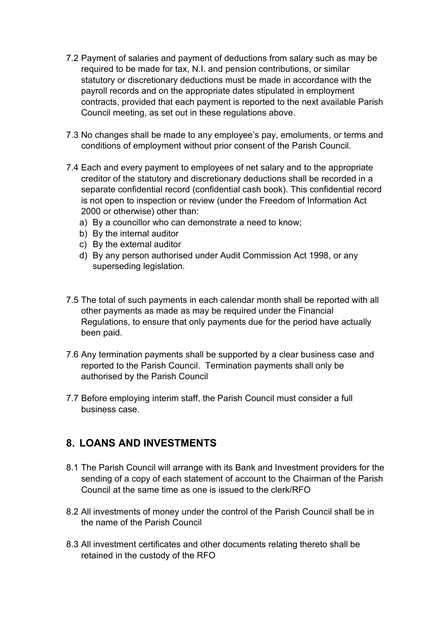- 7.2 Payment of salaries and payment of deductions from salary such as may be required to be made for tax, N.I. and pension contributions, or similar statutory or discretionary deductions must be made in accordance with the payroll records and on the appropriate dates stipulated in employment contracts, provided that each payment is reported to the next available Parish Council meeting, as set out in these regulations above.
- 7.3 No changes shall be made to any employee's pay, emoluments, or terms and conditions of employment without prior consent of the Parish Council.
- 7.4 Each and every payment to employees of net salary and to the appropriate creditor of the statutory and discretionary deductions shall be recorded in a separate confidential record (confidential cash book). This confidential record is not open to inspection or review (under the Freedom of Information Act 2000 or otherwise) other than:
	- a) By a councillor who can demonstrate a need to know;
	- b) By the internal auditor
	- c) By the external auditor
	- d) By any person authorised under Audit Commission Act 1998, or any superseding legislation.
- 7.5 The total of such payments in each calendar month shall be reported with all other payments as made as may be required under the Financial Regulations, to ensure that only payments due for the period have actually been paid.
- 7.6 Any termination payments shall be supported by a clear business case and reported to the Parish Council. Termination payments shall only be authorised by the Parish Council
- 7.7 Before employing interim staff, the Parish Council must consider a full business case.

#### **8. LOANS AND INVESTMENTS**

- 8.1 The Parish Council will arrange with its Bank and Investment providers for the sending of a copy of each statement of account to the Chairman of the Parish Council at the same time as one is issued to the clerk/RFO
- 8.2 All investments of money under the control of the Parish Council shall be in the name of the Parish Council
- 8.3 All investment certificates and other documents relating thereto shall be retained in the custody of the RFO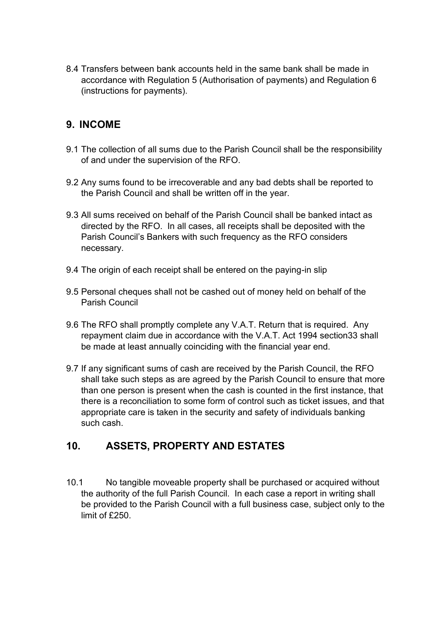8.4 Transfers between bank accounts held in the same bank shall be made in accordance with Regulation 5 (Authorisation of payments) and Regulation 6 (instructions for payments).

## **9. INCOME**

- 9.1 The collection of all sums due to the Parish Council shall be the responsibility of and under the supervision of the RFO.
- 9.2 Any sums found to be irrecoverable and any bad debts shall be reported to the Parish Council and shall be written off in the year.
- 9.3 All sums received on behalf of the Parish Council shall be banked intact as directed by the RFO. In all cases, all receipts shall be deposited with the Parish Council's Bankers with such frequency as the RFO considers necessary.
- 9.4 The origin of each receipt shall be entered on the paying-in slip
- 9.5 Personal cheques shall not be cashed out of money held on behalf of the Parish Council
- 9.6 The RFO shall promptly complete any V.A.T. Return that is required. Any repayment claim due in accordance with the V.A.T. Act 1994 section33 shall be made at least annually coinciding with the financial year end.
- 9.7 If any significant sums of cash are received by the Parish Council, the RFO shall take such steps as are agreed by the Parish Council to ensure that more than one person is present when the cash is counted in the first instance, that there is a reconciliation to some form of control such as ticket issues, and that appropriate care is taken in the security and safety of individuals banking such cash.

#### **10. ASSETS, PROPERTY AND ESTATES**

10.1 No tangible moveable property shall be purchased or acquired without the authority of the full Parish Council. In each case a report in writing shall be provided to the Parish Council with a full business case, subject only to the limit of £250.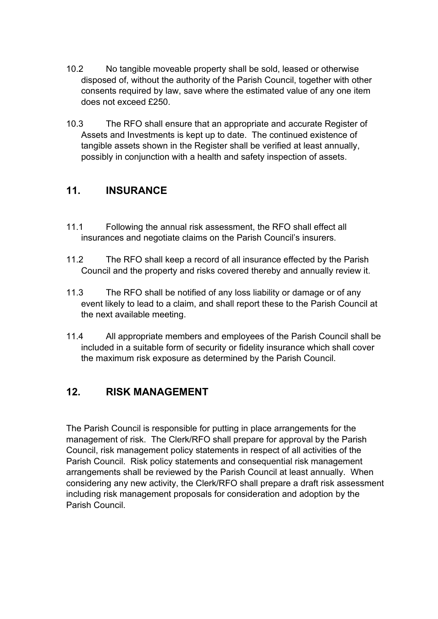- 10.2 No tangible moveable property shall be sold, leased or otherwise disposed of, without the authority of the Parish Council, together with other consents required by law, save where the estimated value of any one item does not exceed £250.
- 10.3 The RFO shall ensure that an appropriate and accurate Register of Assets and Investments is kept up to date. The continued existence of tangible assets shown in the Register shall be verified at least annually, possibly in conjunction with a health and safety inspection of assets.

## **11. INSURANCE**

- 11.1 Following the annual risk assessment, the RFO shall effect all insurances and negotiate claims on the Parish Council's insurers.
- 11.2 The RFO shall keep a record of all insurance effected by the Parish Council and the property and risks covered thereby and annually review it.
- 11.3 The RFO shall be notified of any loss liability or damage or of any event likely to lead to a claim, and shall report these to the Parish Council at the next available meeting.
- 11.4 All appropriate members and employees of the Parish Council shall be included in a suitable form of security or fidelity insurance which shall cover the maximum risk exposure as determined by the Parish Council.

## **12. RISK MANAGEMENT**

The Parish Council is responsible for putting in place arrangements for the management of risk. The Clerk/RFO shall prepare for approval by the Parish Council, risk management policy statements in respect of all activities of the Parish Council. Risk policy statements and consequential risk management arrangements shall be reviewed by the Parish Council at least annually. When considering any new activity, the Clerk/RFO shall prepare a draft risk assessment including risk management proposals for consideration and adoption by the Parish Council.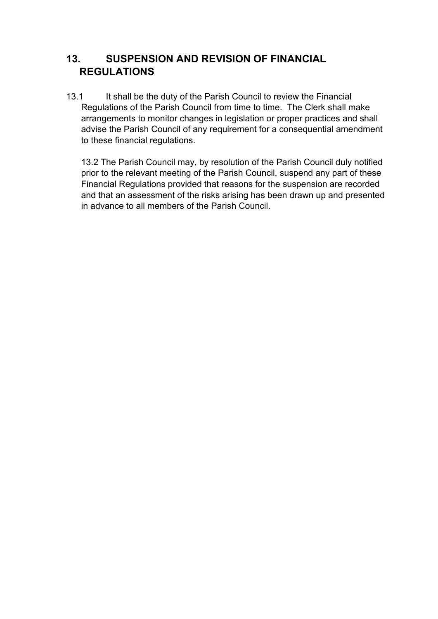## **13. SUSPENSION AND REVISION OF FINANCIAL REGULATIONS**

13.1 It shall be the duty of the Parish Council to review the Financial Regulations of the Parish Council from time to time. The Clerk shall make arrangements to monitor changes in legislation or proper practices and shall advise the Parish Council of any requirement for a consequential amendment to these financial regulations.

13.2 The Parish Council may, by resolution of the Parish Council duly notified prior to the relevant meeting of the Parish Council, suspend any part of these Financial Regulations provided that reasons for the suspension are recorded and that an assessment of the risks arising has been drawn up and presented in advance to all members of the Parish Council.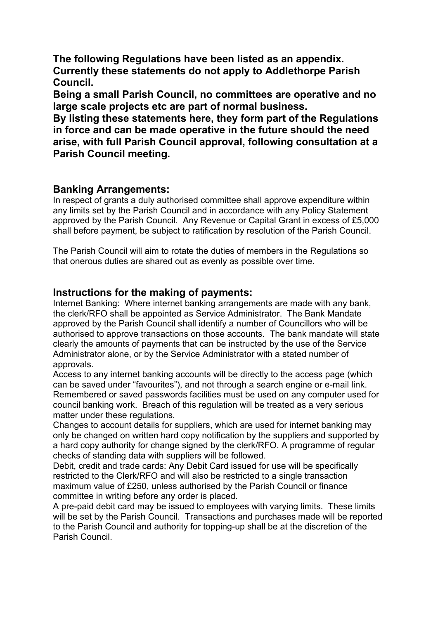**The following Regulations have been listed as an appendix. Currently these statements do not apply to Addlethorpe Parish Council.**

**Being a small Parish Council, no committees are operative and no large scale projects etc are part of normal business.** 

**By listing these statements here, they form part of the Regulations in force and can be made operative in the future should the need arise, with full Parish Council approval, following consultation at a Parish Council meeting.**

#### **Banking Arrangements:**

In respect of grants a duly authorised committee shall approve expenditure within any limits set by the Parish Council and in accordance with any Policy Statement approved by the Parish Council. Any Revenue or Capital Grant in excess of £5,000 shall before payment, be subject to ratification by resolution of the Parish Council.

The Parish Council will aim to rotate the duties of members in the Regulations so that onerous duties are shared out as evenly as possible over time.

#### **Instructions for the making of payments:**

Internet Banking: Where internet banking arrangements are made with any bank, the clerk/RFO shall be appointed as Service Administrator. The Bank Mandate approved by the Parish Council shall identify a number of Councillors who will be authorised to approve transactions on those accounts. The bank mandate will state clearly the amounts of payments that can be instructed by the use of the Service Administrator alone, or by the Service Administrator with a stated number of approvals.

Access to any internet banking accounts will be directly to the access page (which can be saved under "favourites"), and not through a search engine or e-mail link. Remembered or saved passwords facilities must be used on any computer used for council banking work. Breach of this regulation will be treated as a very serious matter under these regulations.

Changes to account details for suppliers, which are used for internet banking may only be changed on written hard copy notification by the suppliers and supported by a hard copy authority for change signed by the clerk/RFO. A programme of regular checks of standing data with suppliers will be followed.

Debit, credit and trade cards: Any Debit Card issued for use will be specifically restricted to the Clerk/RFO and will also be restricted to a single transaction maximum value of £250, unless authorised by the Parish Council or finance committee in writing before any order is placed.

A pre-paid debit card may be issued to employees with varying limits. These limits will be set by the Parish Council. Transactions and purchases made will be reported to the Parish Council and authority for topping-up shall be at the discretion of the Parish Council.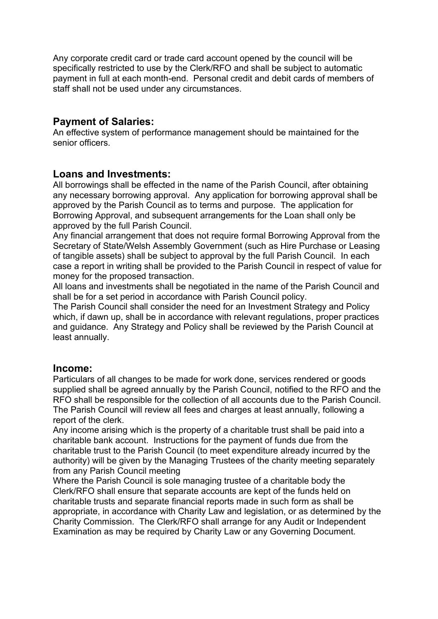Any corporate credit card or trade card account opened by the council will be specifically restricted to use by the Clerk/RFO and shall be subject to automatic payment in full at each month-end. Personal credit and debit cards of members of staff shall not be used under any circumstances.

#### **Payment of Salaries:**

An effective system of performance management should be maintained for the senior officers.

#### **Loans and Investments:**

All borrowings shall be effected in the name of the Parish Council, after obtaining any necessary borrowing approval. Any application for borrowing approval shall be approved by the Parish Council as to terms and purpose. The application for Borrowing Approval, and subsequent arrangements for the Loan shall only be approved by the full Parish Council.

Any financial arrangement that does not require formal Borrowing Approval from the Secretary of State/Welsh Assembly Government (such as Hire Purchase or Leasing of tangible assets) shall be subject to approval by the full Parish Council. In each case a report in writing shall be provided to the Parish Council in respect of value for money for the proposed transaction.

All loans and investments shall be negotiated in the name of the Parish Council and shall be for a set period in accordance with Parish Council policy.

The Parish Council shall consider the need for an Investment Strategy and Policy which, if dawn up, shall be in accordance with relevant regulations, proper practices and guidance. Any Strategy and Policy shall be reviewed by the Parish Council at least annually.

#### **Income:**

Particulars of all changes to be made for work done, services rendered or goods supplied shall be agreed annually by the Parish Council, notified to the RFO and the RFO shall be responsible for the collection of all accounts due to the Parish Council. The Parish Council will review all fees and charges at least annually, following a report of the clerk.

Any income arising which is the property of a charitable trust shall be paid into a charitable bank account. Instructions for the payment of funds due from the charitable trust to the Parish Council (to meet expenditure already incurred by the authority) will be given by the Managing Trustees of the charity meeting separately from any Parish Council meeting

Where the Parish Council is sole managing trustee of a charitable body the Clerk/RFO shall ensure that separate accounts are kept of the funds held on charitable trusts and separate financial reports made in such form as shall be appropriate, in accordance with Charity Law and legislation, or as determined by the Charity Commission. The Clerk/RFO shall arrange for any Audit or Independent Examination as may be required by Charity Law or any Governing Document.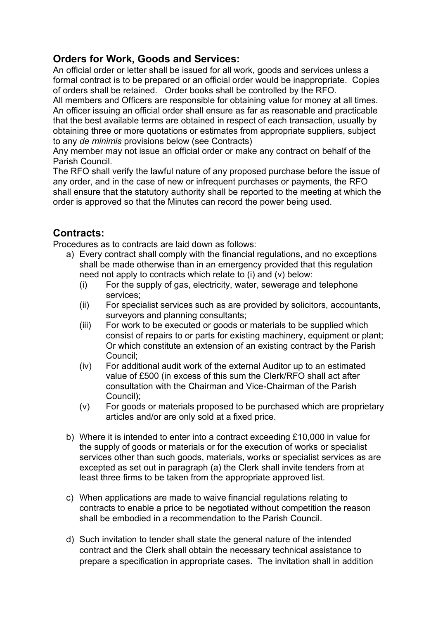#### **Orders for Work, Goods and Services:**

An official order or letter shall be issued for all work, goods and services unless a formal contract is to be prepared or an official order would be inappropriate. Copies of orders shall be retained. Order books shall be controlled by the RFO.

All members and Officers are responsible for obtaining value for money at all times. An officer issuing an official order shall ensure as far as reasonable and practicable that the best available terms are obtained in respect of each transaction, usually by obtaining three or more quotations or estimates from appropriate suppliers, subject to any *de minimis* provisions below (see Contracts)

Any member may not issue an official order or make any contract on behalf of the Parish Council.

The RFO shall verify the lawful nature of any proposed purchase before the issue of any order, and in the case of new or infrequent purchases or payments, the RFO shall ensure that the statutory authority shall be reported to the meeting at which the order is approved so that the Minutes can record the power being used.

#### **Contracts:**

Procedures as to contracts are laid down as follows:

- a) Every contract shall comply with the financial regulations, and no exceptions shall be made otherwise than in an emergency provided that this regulation need not apply to contracts which relate to (i) and (v) below:
	- (i) For the supply of gas, electricity, water, sewerage and telephone services;
	- (ii) For specialist services such as are provided by solicitors, accountants, surveyors and planning consultants;
	- (iii) For work to be executed or goods or materials to be supplied which consist of repairs to or parts for existing machinery, equipment or plant; Or which constitute an extension of an existing contract by the Parish Council;
	- (iv) For additional audit work of the external Auditor up to an estimated value of £500 (in excess of this sum the Clerk/RFO shall act after consultation with the Chairman and Vice-Chairman of the Parish Council);
	- (v) For goods or materials proposed to be purchased which are proprietary articles and/or are only sold at a fixed price.
- b) Where it is intended to enter into a contract exceeding £10,000 in value for the supply of goods or materials or for the execution of works or specialist services other than such goods, materials, works or specialist services as are excepted as set out in paragraph (a) the Clerk shall invite tenders from at least three firms to be taken from the appropriate approved list.
- c) When applications are made to waive financial regulations relating to contracts to enable a price to be negotiated without competition the reason shall be embodied in a recommendation to the Parish Council.
- d) Such invitation to tender shall state the general nature of the intended contract and the Clerk shall obtain the necessary technical assistance to prepare a specification in appropriate cases. The invitation shall in addition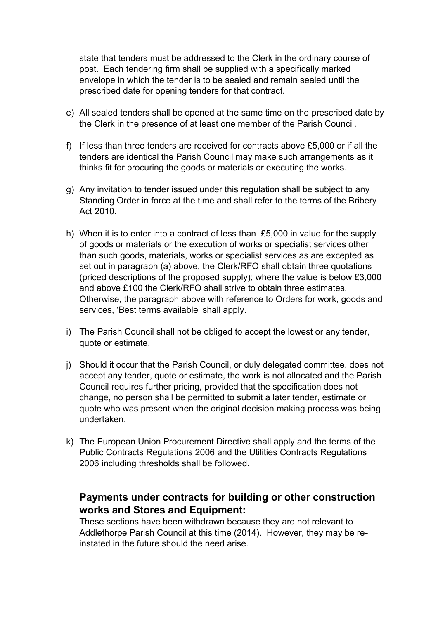state that tenders must be addressed to the Clerk in the ordinary course of post. Each tendering firm shall be supplied with a specifically marked envelope in which the tender is to be sealed and remain sealed until the prescribed date for opening tenders for that contract.

- e) All sealed tenders shall be opened at the same time on the prescribed date by the Clerk in the presence of at least one member of the Parish Council.
- f) If less than three tenders are received for contracts above £5,000 or if all the tenders are identical the Parish Council may make such arrangements as it thinks fit for procuring the goods or materials or executing the works.
- g) Any invitation to tender issued under this regulation shall be subject to any Standing Order in force at the time and shall refer to the terms of the Bribery Act 2010.
- h) When it is to enter into a contract of less than £5,000 in value for the supply of goods or materials or the execution of works or specialist services other than such goods, materials, works or specialist services as are excepted as set out in paragraph (a) above, the Clerk/RFO shall obtain three quotations (priced descriptions of the proposed supply); where the value is below £3,000 and above £100 the Clerk/RFO shall strive to obtain three estimates. Otherwise, the paragraph above with reference to Orders for work, goods and services, 'Best terms available' shall apply.
- i) The Parish Council shall not be obliged to accept the lowest or any tender, quote or estimate.
- j) Should it occur that the Parish Council, or duly delegated committee, does not accept any tender, quote or estimate, the work is not allocated and the Parish Council requires further pricing, provided that the specification does not change, no person shall be permitted to submit a later tender, estimate or quote who was present when the original decision making process was being undertaken.
- k) The European Union Procurement Directive shall apply and the terms of the Public Contracts Regulations 2006 and the Utilities Contracts Regulations 2006 including thresholds shall be followed.

## **Payments under contracts for building or other construction works and Stores and Equipment:**

These sections have been withdrawn because they are not relevant to Addlethorpe Parish Council at this time (2014). However, they may be reinstated in the future should the need arise.